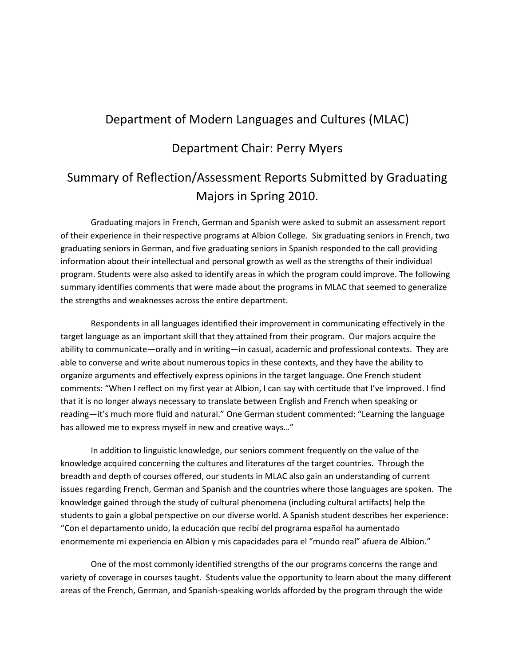## Department of Modern Languages and Cultures (MLAC)

## Department Chair: Perry Myers

## Summary of Reflection/Assessment Reports Submitted by Graduating Majors in Spring 2010.

Graduating majors in French, German and Spanish were asked to submit an assessment report of their experience in their respective programs at Albion College. Six graduating seniors in French, two graduating seniors in German, and five graduating seniors in Spanish responded to the call providing information about their intellectual and personal growth as well as the strengths of their individual program. Students were also asked to identify areas in which the program could improve. The following summary identifies comments that were made about the programs in MLAC that seemed to generalize the strengths and weaknesses across the entire department.

Respondents in all languages identified their improvement in communicating effectively in the target language as an important skill that they attained from their program. Our majors acquire the ability to communicate—orally and in writing—in casual, academic and professional contexts. They are able to converse and write about numerous topics in these contexts, and they have the ability to organize arguments and effectively express opinions in the target language. One French student comments: "When I reflect on my first year at Albion, I can say with certitude that I've improved. I find that it is no longer always necessary to translate between English and French when speaking or reading—it's much more fluid and natural." One German student commented: "Learning the language has allowed me to express myself in new and creative ways…"

In addition to linguistic knowledge, our seniors comment frequently on the value of the knowledge acquired concerning the cultures and literatures of the target countries. Through the breadth and depth of courses offered, our students in MLAC also gain an understanding of current issues regarding French, German and Spanish and the countries where those languages are spoken. The knowledge gained through the study of cultural phenomena (including cultural artifacts) help the students to gain a global perspective on our diverse world. A Spanish student describes her experience: "Con el departamento unido, la educación que recibí del programa español ha aumentado enormemente mi experiencia en Albion y mis capacidades para el "mundo real" afuera de Albion."

One of the most commonly identified strengths of the our programs concerns the range and variety of coverage in courses taught. Students value the opportunity to learn about the many different areas of the French, German, and Spanish-speaking worlds afforded by the program through the wide